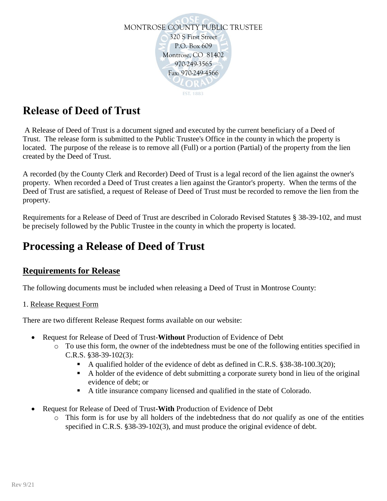

# **Release of Deed of Trust**

A Release of Deed of Trust is a document signed and executed by the current beneficiary of a Deed of Trust. The release form is submitted to the Public Trustee's Office in the county in which the property is located. The purpose of the release is to remove all (Full) or a portion (Partial) of the property from the lien created by the Deed of Trust.

A recorded (by the County Clerk and Recorder) Deed of Trust is a legal record of the lien against the owner's property. When recorded a Deed of Trust creates a lien against the Grantor's property. When the terms of the Deed of Trust are satisfied, a request of Release of Deed of Trust must be recorded to remove the lien from the property.

Requirements for a Release of Deed of Trust are described in Colorado Revised Statutes § 38-39-102, and must be precisely followed by the Public Trustee in the county in which the property is located.

### **Processing a Release of Deed of Trust**

### **Requirements for Release**

The following documents must be included when releasing a Deed of Trust in Montrose County:

#### 1. Release Request Form

There are two different Release Request forms available on our website:

- Request for Release of Deed of Trust-**Without** Production of Evidence of Debt
	- o To use this form, the owner of the indebtedness must be one of the following entities specified in C.R.S. §38-39-102(3):
		- A qualified holder of the evidence of debt as defined in C.R.S. §38-38-100.3(20);
		- A holder of the evidence of debt submitting a corporate surety bond in lieu of the original evidence of debt; or
		- A title insurance company licensed and qualified in the state of Colorado.
- Request for Release of Deed of Trust-**With** Production of Evidence of Debt
	- o This form is for use by all holders of the indebtedness that do *not* qualify as one of the entities specified in C.R.S. §38-39-102(3), and must produce the original evidence of debt.